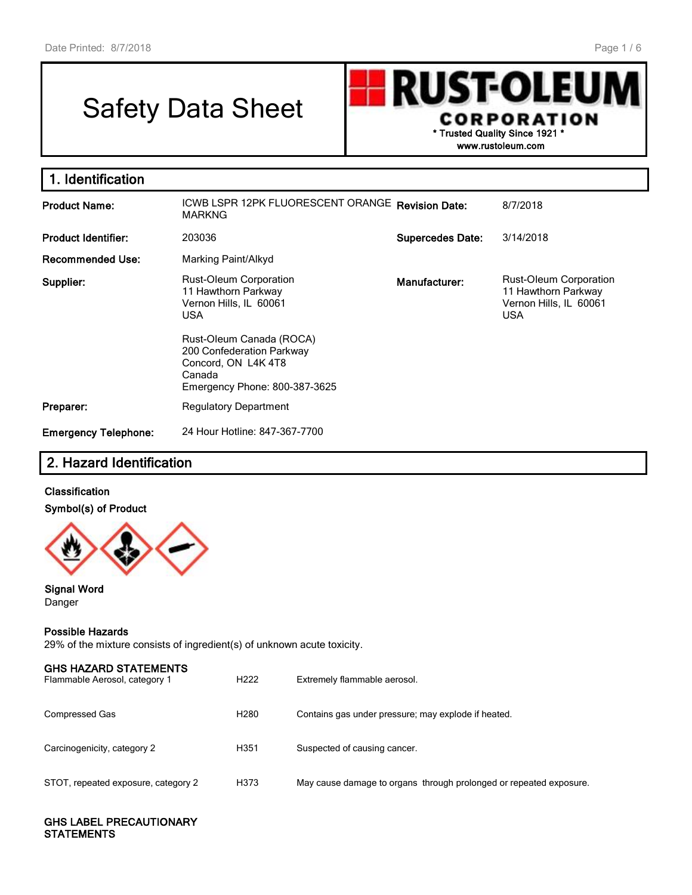## Safety Data Sheet

UST-OLEU R **CORPORATION** \* Trusted Quality Since 1921 \*

www.rustoleum.com

| 1. Identification           |                                                                                                                         |                         |                                                                                       |  |  |  |  |
|-----------------------------|-------------------------------------------------------------------------------------------------------------------------|-------------------------|---------------------------------------------------------------------------------------|--|--|--|--|
| <b>Product Name:</b>        | ICWB LSPR 12PK FLUORESCENT ORANGE Revision Date:<br><b>MARKNG</b>                                                       | 8/7/2018                |                                                                                       |  |  |  |  |
| <b>Product Identifier:</b>  | 203036                                                                                                                  | <b>Supercedes Date:</b> | 3/14/2018                                                                             |  |  |  |  |
| <b>Recommended Use:</b>     | Marking Paint/Alkyd                                                                                                     |                         |                                                                                       |  |  |  |  |
| Supplier:                   | Rust-Oleum Corporation<br>Manufacturer:<br>11 Hawthorn Parkway<br>Vernon Hills, IL 60061<br><b>USA</b>                  |                         | Rust-Oleum Corporation<br>11 Hawthorn Parkway<br>Vernon Hills, IL 60061<br><b>USA</b> |  |  |  |  |
|                             | Rust-Oleum Canada (ROCA)<br>200 Confederation Parkway<br>Concord, ON L4K 4T8<br>Canada<br>Emergency Phone: 800-387-3625 |                         |                                                                                       |  |  |  |  |
| Preparer:                   | <b>Regulatory Department</b>                                                                                            |                         |                                                                                       |  |  |  |  |
| <b>Emergency Telephone:</b> | 24 Hour Hotline: 847-367-7700                                                                                           |                         |                                                                                       |  |  |  |  |

## 2. Hazard Identification

#### Classification Symbol(s) of Product



#### Signal Word Danger

#### Possible Hazards

29% of the mixture consists of ingredient(s) of unknown acute toxicity.

| <b>GHS HAZARD STATEMENTS</b><br>Flammable Aerosol, category 1 | H <sub>222</sub> | Extremely flammable aerosol.                                       |
|---------------------------------------------------------------|------------------|--------------------------------------------------------------------|
| Compressed Gas                                                | H <sub>280</sub> | Contains gas under pressure; may explode if heated.                |
| Carcinogenicity, category 2                                   | H <sub>351</sub> | Suspected of causing cancer.                                       |
| STOT, repeated exposure, category 2                           | H373             | May cause damage to organs through prolonged or repeated exposure. |

#### GHS LABEL PRECAUTIONARY **STATEMENTS**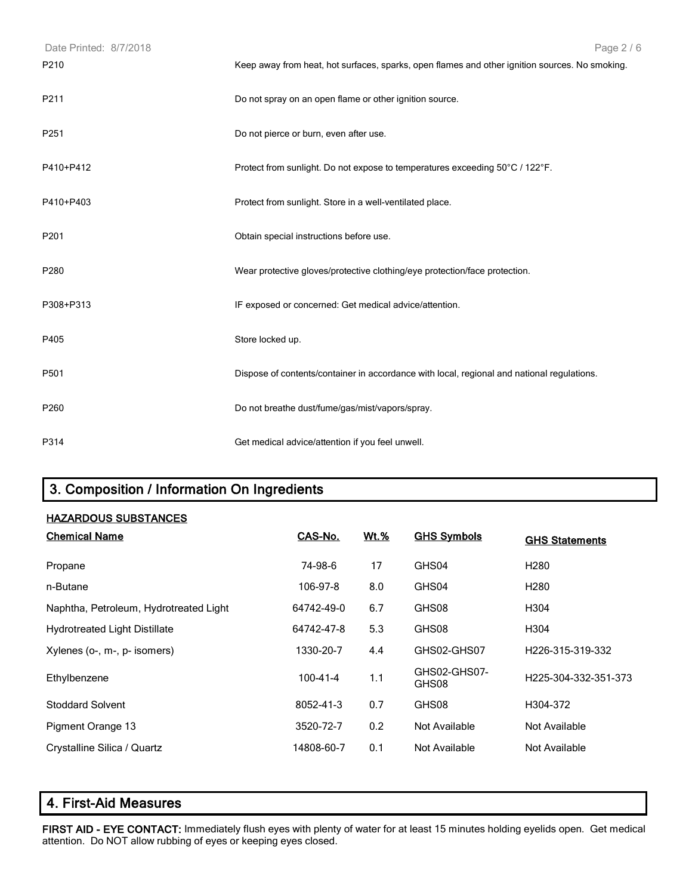| Date Printed: 8/7/2018 | Page 2 / 6                                                                                     |
|------------------------|------------------------------------------------------------------------------------------------|
| P210                   | Keep away from heat, hot surfaces, sparks, open flames and other ignition sources. No smoking. |
| P211                   | Do not spray on an open flame or other ignition source.                                        |
| P251                   | Do not pierce or burn, even after use.                                                         |
| P410+P412              | Protect from sunlight. Do not expose to temperatures exceeding 50°C / 122°F.                   |
| P410+P403              | Protect from sunlight. Store in a well-ventilated place.                                       |
| P201                   | Obtain special instructions before use.                                                        |
| P280                   | Wear protective gloves/protective clothing/eye protection/face protection.                     |
| P308+P313              | IF exposed or concerned: Get medical advice/attention.                                         |
| P405                   | Store locked up.                                                                               |
| P501                   | Dispose of contents/container in accordance with local, regional and national regulations.     |
| P260                   | Do not breathe dust/fume/gas/mist/vapors/spray.                                                |
| P314                   | Get medical advice/attention if you feel unwell.                                               |

## 3. Composition / Information On Ingredients

| <b>HAZARDOUS SUBSTANCES</b> |
|-----------------------------|
|                             |

| <b>Chemical Name</b>                   | CAS-No.        | <u>Wt.%</u> | <b>GHS Symbols</b>    | <b>GHS Statements</b>         |
|----------------------------------------|----------------|-------------|-----------------------|-------------------------------|
| Propane                                | 74-98-6        | 17          | GHS04                 | H <sub>2</sub> 80             |
| n-Butane                               | 106-97-8       | 8.0         | GHS04                 | H <sub>280</sub>              |
| Naphtha, Petroleum, Hydrotreated Light | 64742-49-0     | 6.7         | GHS08                 | H304                          |
| <b>Hydrotreated Light Distillate</b>   | 64742-47-8     | 5.3         | GHS08                 | H304                          |
| Xylenes (o-, m-, p- isomers)           | 1330-20-7      | 4.4         | GHS02-GHS07           | H <sub>226</sub> -315-319-332 |
| Ethylbenzene                           | $100 - 41 - 4$ | 1.1         | GHS02-GHS07-<br>GHS08 | H225-304-332-351-373          |
| <b>Stoddard Solvent</b>                | 8052-41-3      | 0.7         | GHS08                 | H304-372                      |
| Pigment Orange 13                      | 3520-72-7      | 0.2         | Not Available         | Not Available                 |
| Crystalline Silica / Quartz            | 14808-60-7     | 0.1         | Not Available         | Not Available                 |

## 4. First-Aid Measures

FIRST AID - EYE CONTACT: Immediately flush eyes with plenty of water for at least 15 minutes holding eyelids open. Get medical attention. Do NOT allow rubbing of eyes or keeping eyes closed.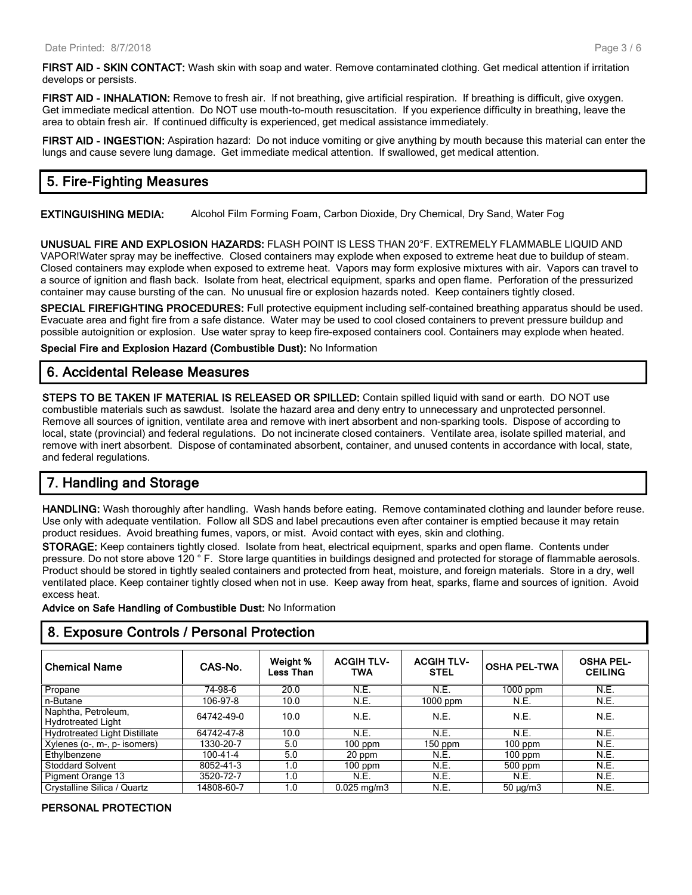FIRST AID - SKIN CONTACT: Wash skin with soap and water. Remove contaminated clothing. Get medical attention if irritation develops or persists.

FIRST AID - INHALATION: Remove to fresh air. If not breathing, give artificial respiration. If breathing is difficult, give oxygen. Get immediate medical attention. Do NOT use mouth-to-mouth resuscitation. If you experience difficulty in breathing, leave the area to obtain fresh air. If continued difficulty is experienced, get medical assistance immediately.

FIRST AID - INGESTION: Aspiration hazard: Do not induce vomiting or give anything by mouth because this material can enter the lungs and cause severe lung damage. Get immediate medical attention. If swallowed, get medical attention.

## 5. Fire-Fighting Measures

EXTINGUISHING MEDIA: Alcohol Film Forming Foam, Carbon Dioxide, Dry Chemical, Dry Sand, Water Fog

UNUSUAL FIRE AND EXPLOSION HAZARDS: FLASH POINT IS LESS THAN 20°F. EXTREMELY FLAMMABLE LIQUID AND VAPOR!Water spray may be ineffective. Closed containers may explode when exposed to extreme heat due to buildup of steam. Closed containers may explode when exposed to extreme heat. Vapors may form explosive mixtures with air. Vapors can travel to a source of ignition and flash back. Isolate from heat, electrical equipment, sparks and open flame. Perforation of the pressurized container may cause bursting of the can. No unusual fire or explosion hazards noted. Keep containers tightly closed.

SPECIAL FIREFIGHTING PROCEDURES: Full protective equipment including self-contained breathing apparatus should be used. Evacuate area and fight fire from a safe distance. Water may be used to cool closed containers to prevent pressure buildup and possible autoignition or explosion. Use water spray to keep fire-exposed containers cool. Containers may explode when heated.

Special Fire and Explosion Hazard (Combustible Dust): No Information

### 6. Accidental Release Measures

STEPS TO BE TAKEN IF MATERIAL IS RELEASED OR SPILLED: Contain spilled liquid with sand or earth. DO NOT use combustible materials such as sawdust. Isolate the hazard area and deny entry to unnecessary and unprotected personnel. Remove all sources of ignition, ventilate area and remove with inert absorbent and non-sparking tools. Dispose of according to local, state (provincial) and federal regulations. Do not incinerate closed containers. Ventilate area, isolate spilled material, and remove with inert absorbent. Dispose of contaminated absorbent, container, and unused contents in accordance with local, state, and federal regulations.

## 7. Handling and Storage

HANDLING: Wash thoroughly after handling. Wash hands before eating. Remove contaminated clothing and launder before reuse. Use only with adequate ventilation. Follow all SDS and label precautions even after container is emptied because it may retain product residues. Avoid breathing fumes, vapors, or mist. Avoid contact with eyes, skin and clothing.

STORAGE: Keep containers tightly closed. Isolate from heat, electrical equipment, sparks and open flame. Contents under pressure. Do not store above 120 °F. Store large quantities in buildings designed and protected for storage of flammable aerosols. Product should be stored in tightly sealed containers and protected from heat, moisture, and foreign materials. Store in a dry, well ventilated place. Keep container tightly closed when not in use. Keep away from heat, sparks, flame and sources of ignition. Avoid excess heat.

Advice on Safe Handling of Combustible Dust: No Information

#### 8. Exposure Controls / Personal Protection

| <b>Chemical Name</b>                             | CAS-No.    | Weight %<br><b>Less Than</b> | <b>ACGIH TLV-</b><br><b>TWA</b> | <b>ACGIH TLV-</b><br><b>STEL</b> | <b>OSHA PEL-TWA</b> | <b>OSHA PEL-</b><br><b>CEILING</b> |
|--------------------------------------------------|------------|------------------------------|---------------------------------|----------------------------------|---------------------|------------------------------------|
| Propane                                          | 74-98-6    | 20.0                         | N.E.                            | N.E.                             | 1000 ppm            | N.E.                               |
| n-Butane                                         | 106-97-8   | 10.0                         | N.E.                            | $1000$ ppm                       | N.E.                | N.E.                               |
| Naphtha, Petroleum,<br><b>Hydrotreated Light</b> | 64742-49-0 | 10.0                         | N.E.                            | N.E.                             | N.E.                | N.E.                               |
| <b>Hydrotreated Light Distillate</b>             | 64742-47-8 | 10.0                         | N.E.                            | N.E.                             | N.E.                | N.E.                               |
| Xylenes (o-, m-, p- isomers)                     | 1330-20-7  | 5.0                          | $100$ ppm                       | $150$ ppm                        | $100$ ppm           | N.E.                               |
| Ethylbenzene                                     | 100-41-4   | 5.0                          | 20 ppm                          | N.E.                             | $100$ ppm           | N.E.                               |
| <b>Stoddard Solvent</b>                          | 8052-41-3  | 1.0                          | $100$ ppm                       | <b>N.E.</b>                      | 500 ppm             | N.E.                               |
| Pigment Orange 13                                | 3520-72-7  | 1.0                          | N.E.                            | N.E.                             | N.E.                | N.E.                               |
| Crystalline Silica / Quartz                      | 14808-60-7 | 1.0                          | $0.025 \,\mathrm{mg/m}$         | N.E.                             | $50 \mu q/m3$       | N.E.                               |

#### PERSONAL PROTECTION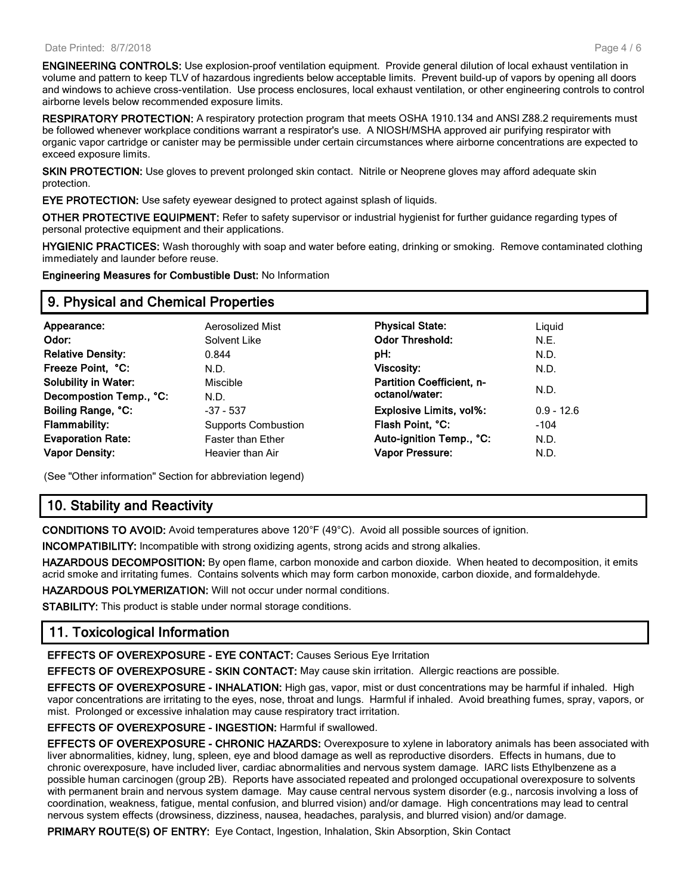ENGINEERING CONTROLS: Use explosion-proof ventilation equipment. Provide general dilution of local exhaust ventilation in volume and pattern to keep TLV of hazardous ingredients below acceptable limits. Prevent build-up of vapors by opening all doors and windows to achieve cross-ventilation. Use process enclosures, local exhaust ventilation, or other engineering controls to control airborne levels below recommended exposure limits.

RESPIRATORY PROTECTION: A respiratory protection program that meets OSHA 1910.134 and ANSI Z88.2 requirements must be followed whenever workplace conditions warrant a respirator's use. A NIOSH/MSHA approved air purifying respirator with organic vapor cartridge or canister may be permissible under certain circumstances where airborne concentrations are expected to exceed exposure limits.

SKIN PROTECTION: Use gloves to prevent prolonged skin contact. Nitrile or Neoprene gloves may afford adequate skin protection.

EYE PROTECTION: Use safety eyewear designed to protect against splash of liquids.

OTHER PROTECTIVE EQUIPMENT: Refer to safety supervisor or industrial hygienist for further guidance regarding types of personal protective equipment and their applications.

HYGIENIC PRACTICES: Wash thoroughly with soap and water before eating, drinking or smoking. Remove contaminated clothing immediately and launder before reuse.

Engineering Measures for Combustible Dust: No Information

#### 9. Physical and Chemical Properties

| Appearance:                                                                                                                | Aerosolized Mist                                                                                  | <b>Physical State:</b>                                                                                              | Liquid                                 |
|----------------------------------------------------------------------------------------------------------------------------|---------------------------------------------------------------------------------------------------|---------------------------------------------------------------------------------------------------------------------|----------------------------------------|
| Odor:                                                                                                                      | Solvent Like                                                                                      | <b>Odor Threshold:</b>                                                                                              | N.E.                                   |
| <b>Relative Density:</b>                                                                                                   | 0.844                                                                                             | pH:                                                                                                                 | N.D.                                   |
| Freeze Point, °C:                                                                                                          | N.D.                                                                                              | <b>Viscosity:</b>                                                                                                   | N.D.                                   |
| <b>Solubility in Water:</b>                                                                                                | <b>Miscible</b>                                                                                   | <b>Partition Coefficient, n-</b>                                                                                    | N.D.                                   |
| Decompostion Temp., °C:<br>Boiling Range, °C:<br><b>Flammability:</b><br><b>Evaporation Rate:</b><br><b>Vapor Density:</b> | N.D.<br>$-37 - 537$<br><b>Supports Combustion</b><br><b>Faster than Ether</b><br>Heavier than Air | octanol/water:<br><b>Explosive Limits, vol%:</b><br>Flash Point, °C:<br>Auto-ignition Temp., °C:<br>Vapor Pressure: | $0.9 - 12.6$<br>$-104$<br>N.D.<br>N.D. |

(See "Other information" Section for abbreviation legend)

## 10. Stability and Reactivity

CONDITIONS TO AVOID: Avoid temperatures above 120°F (49°C). Avoid all possible sources of ignition.

INCOMPATIBILITY: Incompatible with strong oxidizing agents, strong acids and strong alkalies.

HAZARDOUS DECOMPOSITION: By open flame, carbon monoxide and carbon dioxide. When heated to decomposition, it emits acrid smoke and irritating fumes. Contains solvents which may form carbon monoxide, carbon dioxide, and formaldehyde.

HAZARDOUS POLYMERIZATION: Will not occur under normal conditions.

STABILITY: This product is stable under normal storage conditions.

#### 11. Toxicological Information

EFFECTS OF OVEREXPOSURE - EYE CONTACT: Causes Serious Eye Irritation

EFFECTS OF OVEREXPOSURE - SKIN CONTACT: May cause skin irritation. Allergic reactions are possible.

EFFECTS OF OVEREXPOSURE - INHALATION: High gas, vapor, mist or dust concentrations may be harmful if inhaled. High vapor concentrations are irritating to the eyes, nose, throat and lungs. Harmful if inhaled. Avoid breathing fumes, spray, vapors, or mist. Prolonged or excessive inhalation may cause respiratory tract irritation.

EFFECTS OF OVEREXPOSURE - INGESTION: Harmful if swallowed.

EFFECTS OF OVEREXPOSURE - CHRONIC HAZARDS: Overexposure to xylene in laboratory animals has been associated with liver abnormalities, kidney, lung, spleen, eye and blood damage as well as reproductive disorders. Effects in humans, due to chronic overexposure, have included liver, cardiac abnormalities and nervous system damage. IARC lists Ethylbenzene as a possible human carcinogen (group 2B). Reports have associated repeated and prolonged occupational overexposure to solvents with permanent brain and nervous system damage. May cause central nervous system disorder (e.g., narcosis involving a loss of coordination, weakness, fatigue, mental confusion, and blurred vision) and/or damage. High concentrations may lead to central nervous system effects (drowsiness, dizziness, nausea, headaches, paralysis, and blurred vision) and/or damage.

PRIMARY ROUTE(S) OF ENTRY: Eye Contact, Ingestion, Inhalation, Skin Absorption, Skin Contact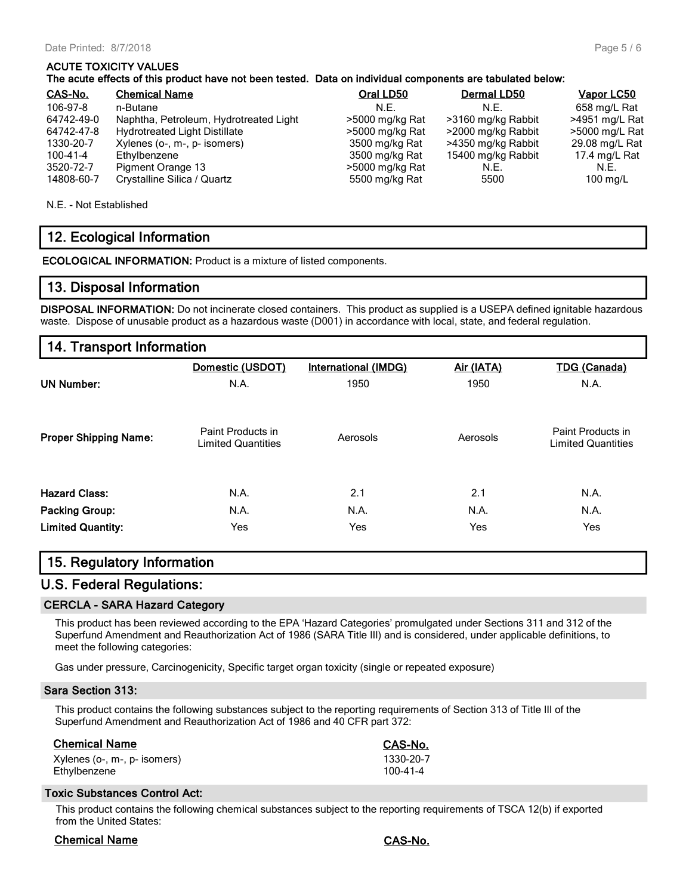#### ACUTE TOXICITY VALUES

#### The acute effects of this product have not been tested. Data on individual components are tabulated below:

| CAS-No.        | <b>Chemical Name</b>                   | Oral LD50       | Dermal LD50        | Vapor LC50          |
|----------------|----------------------------------------|-----------------|--------------------|---------------------|
| 106-97-8       | n-Butane                               | N.F.            | N.F.               | 658 mg/L Rat        |
| 64742-49-0     | Naphtha, Petroleum, Hydrotreated Light | >5000 mg/kg Rat | >3160 mg/kg Rabbit | >4951 mg/L Rat      |
| 64742-47-8     | Hydrotreated Light Distillate          | >5000 mg/kg Rat | >2000 mg/kg Rabbit | >5000 mg/L Rat      |
| 1330-20-7      | Xylenes (o-, m-, p- isomers)           | 3500 mg/kg Rat  | >4350 mg/kg Rabbit | 29.08 mg/L Rat      |
| $100 - 41 - 4$ | Ethylbenzene                           | 3500 mg/kg Rat  | 15400 mg/kg Rabbit | 17.4 mg/L Rat       |
| 3520-72-7      | Pigment Orange 13                      | >5000 mg/kg Rat | N.E.               | N.E.                |
| 14808-60-7     | Crystalline Silica / Quartz            | 5500 mg/kg Rat  | 5500               | $100 \text{ rad/L}$ |

N.E. - Not Established

#### 12. Ecological Information

ECOLOGICAL INFORMATION: Product is a mixture of listed components.

#### 13. Disposal Information

DISPOSAL INFORMATION: Do not incinerate closed containers. This product as supplied is a USEPA defined ignitable hazardous waste. Dispose of unusable product as a hazardous waste (D001) in accordance with local, state, and federal regulation.

#### 14. Transport Information

|                              | Domestic (USDOT)                               | <b>International (IMDG)</b> | Air (IATA) | <b>TDG (Canada)</b>                            |
|------------------------------|------------------------------------------------|-----------------------------|------------|------------------------------------------------|
| <b>UN Number:</b>            | N.A.                                           | 1950                        | 1950       | N.A.                                           |
| <b>Proper Shipping Name:</b> | Paint Products in<br><b>Limited Quantities</b> | Aerosols                    | Aerosols   | Paint Products in<br><b>Limited Quantities</b> |
| <b>Hazard Class:</b>         | N.A.                                           | 2.1                         | 2.1        | N.A.                                           |
| <b>Packing Group:</b>        | N.A.                                           | N.A.                        | N.A.       | N.A.                                           |
| <b>Limited Quantity:</b>     | Yes                                            | Yes                         | Yes        | Yes                                            |

#### 15. Regulatory Information

#### U.S. Federal Regulations:

#### CERCLA - SARA Hazard Category

This product has been reviewed according to the EPA 'Hazard Categories' promulgated under Sections 311 and 312 of the Superfund Amendment and Reauthorization Act of 1986 (SARA Title III) and is considered, under applicable definitions, to meet the following categories:

Gas under pressure, Carcinogenicity, Specific target organ toxicity (single or repeated exposure)

#### Sara Section 313:

This product contains the following substances subject to the reporting requirements of Section 313 of Title III of the Superfund Amendment and Reauthorization Act of 1986 and 40 CFR part 372:

#### Chemical Name CAS-No.

| Xylenes (o-, m-, p- isomers) | 1330-20-7 |
|------------------------------|-----------|
| Ethylbenzene                 | 100-41-4  |

#### Toxic Substances Control Act:

This product contains the following chemical substances subject to the reporting requirements of TSCA 12(b) if exported from the United States:

#### Chemical Name CAS-No.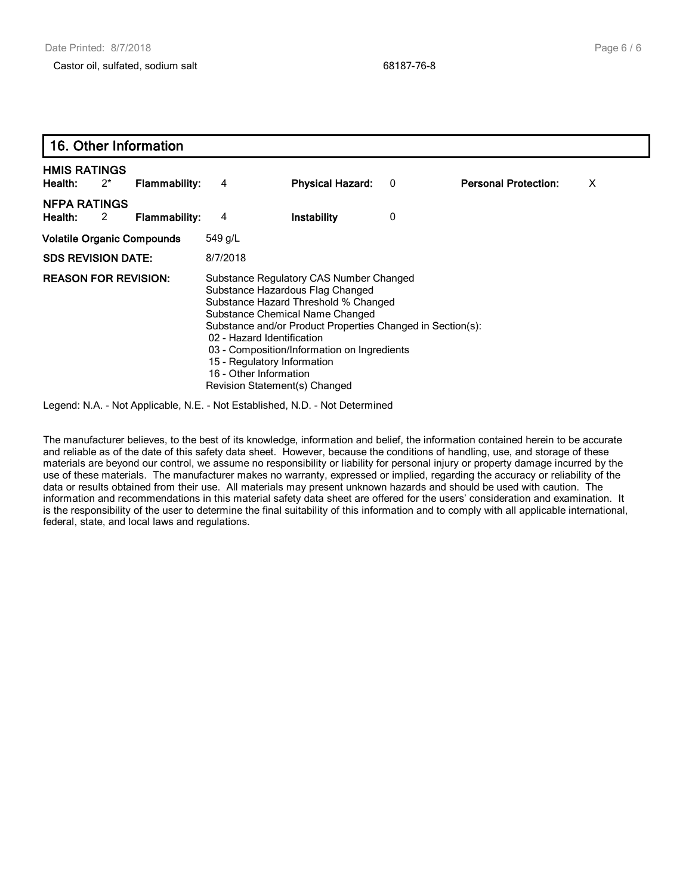| 16. Other Information             |       |                      |                                                                                                                                                                                                                                                                                                                                                                                             |                         |   |                             |   |  |
|-----------------------------------|-------|----------------------|---------------------------------------------------------------------------------------------------------------------------------------------------------------------------------------------------------------------------------------------------------------------------------------------------------------------------------------------------------------------------------------------|-------------------------|---|-----------------------------|---|--|
| <b>HMIS RATINGS</b><br>Health:    | $2^*$ | <b>Flammability:</b> | 4                                                                                                                                                                                                                                                                                                                                                                                           | <b>Physical Hazard:</b> | 0 | <b>Personal Protection:</b> | х |  |
| <b>NFPA RATINGS</b><br>Health:    | 2     | <b>Flammability:</b> | 4                                                                                                                                                                                                                                                                                                                                                                                           | Instability             | 0 |                             |   |  |
| <b>Volatile Organic Compounds</b> |       |                      | 549 g/L                                                                                                                                                                                                                                                                                                                                                                                     |                         |   |                             |   |  |
| <b>SDS REVISION DATE:</b>         |       |                      | 8/7/2018                                                                                                                                                                                                                                                                                                                                                                                    |                         |   |                             |   |  |
| <b>REASON FOR REVISION:</b>       |       |                      | Substance Regulatory CAS Number Changed<br>Substance Hazardous Flag Changed<br>Substance Hazard Threshold % Changed<br>Substance Chemical Name Changed<br>Substance and/or Product Properties Changed in Section(s):<br>02 - Hazard Identification<br>03 - Composition/Information on Ingredients<br>15 - Regulatory Information<br>16 - Other Information<br>Revision Statement(s) Changed |                         |   |                             |   |  |

Legend: N.A. - Not Applicable, N.E. - Not Established, N.D. - Not Determined

The manufacturer believes, to the best of its knowledge, information and belief, the information contained herein to be accurate and reliable as of the date of this safety data sheet. However, because the conditions of handling, use, and storage of these materials are beyond our control, we assume no responsibility or liability for personal injury or property damage incurred by the use of these materials. The manufacturer makes no warranty, expressed or implied, regarding the accuracy or reliability of the data or results obtained from their use. All materials may present unknown hazards and should be used with caution. The information and recommendations in this material safety data sheet are offered for the users' consideration and examination. It is the responsibility of the user to determine the final suitability of this information and to comply with all applicable international, federal, state, and local laws and regulations.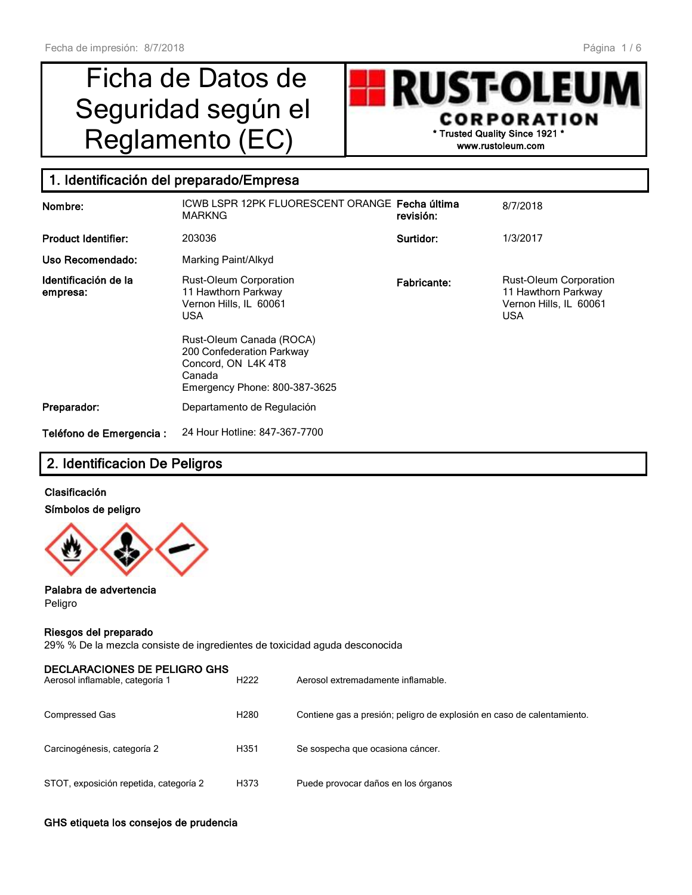# Ficha de Datos de Seguridad según el



## 1. Identificación del preparado/Empresa

| Nombre:                          | ICWB LSPR 12PK FLUORESCENT ORANGE Fecha última<br><b>MARKNG</b>                                                                                                                                                        | revisión:   | 8/7/2018                                                                              |
|----------------------------------|------------------------------------------------------------------------------------------------------------------------------------------------------------------------------------------------------------------------|-------------|---------------------------------------------------------------------------------------|
| <b>Product Identifier:</b>       | 203036                                                                                                                                                                                                                 | Surtidor:   | 1/3/2017                                                                              |
| Uso Recomendado:                 | Marking Paint/Alkyd                                                                                                                                                                                                    |             |                                                                                       |
| Identificación de la<br>empresa: | <b>Rust-Oleum Corporation</b><br>11 Hawthorn Parkway<br>Vernon Hills, IL 60061<br><b>USA</b><br>Rust-Oleum Canada (ROCA)<br>200 Confederation Parkway<br>Concord, ON L4K4T8<br>Canada<br>Emergency Phone: 800-387-3625 | Fabricante: | Rust-Oleum Corporation<br>11 Hawthorn Parkway<br>Vernon Hills, IL 60061<br><b>USA</b> |
| Preparador:                      | Departamento de Regulación                                                                                                                                                                                             |             |                                                                                       |
| Teléfono de Emergencia :         | 24 Hour Hotline: 847-367-7700                                                                                                                                                                                          |             |                                                                                       |

## 2. Identificacion De Peligros

#### Clasificación Símbolos de peligro



Palabra de advertencia Peligro

#### Riesgos del preparado

29% % De la mezcla consiste de ingredientes de toxicidad aguda desconocida

| <b>DECLARACIONES DE PELIGRO GHS</b><br>Aerosol inflamable, categoría 1 | H <sub>222</sub> | Aerosol extremadamente inflamable.                                     |
|------------------------------------------------------------------------|------------------|------------------------------------------------------------------------|
| <b>Compressed Gas</b>                                                  | H <sub>280</sub> | Contiene gas a presión; peligro de explosión en caso de calentamiento. |
| Carcinogénesis, categoría 2                                            | H351             | Se sospecha que ocasiona cáncer.                                       |
| STOT, exposición repetida, categoría 2                                 | H373             | Puede provocar daños en los órganos                                    |

#### GHS etiqueta los consejos de prudencia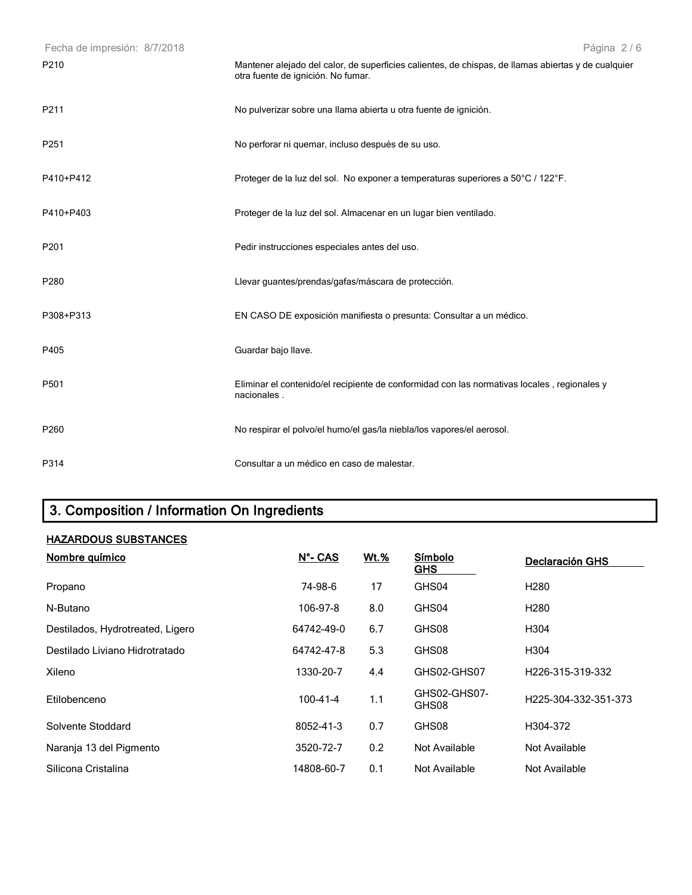| Fecha de impresión: 8/7/2018 | Página 2/6                                                                                                                                |
|------------------------------|-------------------------------------------------------------------------------------------------------------------------------------------|
| P <sub>210</sub>             | Mantener alejado del calor, de superficies calientes, de chispas, de llamas abiertas y de cualquier<br>otra fuente de ignición. No fumar. |
| P211                         | No pulverizar sobre una llama abierta u otra fuente de ignición.                                                                          |
| P251                         | No perforar ni quemar, incluso después de su uso.                                                                                         |
| P410+P412                    | Proteger de la luz del sol. No exponer a temperaturas superiores a 50°C / 122°F.                                                          |
| P410+P403                    | Proteger de la luz del sol. Almacenar en un lugar bien ventilado.                                                                         |
| P201                         | Pedir instrucciones especiales antes del uso.                                                                                             |
| P280                         | Llevar guantes/prendas/gafas/máscara de protección.                                                                                       |
| P308+P313                    | EN CASO DE exposición manifiesta o presunta: Consultar a un médico.                                                                       |
| P405                         | Guardar bajo llave.                                                                                                                       |
| P501                         | Eliminar el contenido/el recipiente de conformidad con las normativas locales, regionales y<br>nacionales.                                |
| P260                         | No respirar el polvo/el humo/el gas/la niebla/los vapores/el aerosol.                                                                     |
| P314                         | Consultar a un médico en caso de malestar.                                                                                                |

## 3. Composition / Information On Ingredients

### HAZARDOUS SUBSTANCES

| Nombre químico                   | N°- CAS        | <b>Wt.%</b> | Símbolo<br><b>GHS</b> | Declaración GHS      |
|----------------------------------|----------------|-------------|-----------------------|----------------------|
| Propano                          | 74-98-6        | 17          | GHS04                 | H <sub>280</sub>     |
| N-Butano                         | 106-97-8       | 8.0         | GHS04                 | H <sub>280</sub>     |
| Destilados, Hydrotreated, Ligero | 64742-49-0     | 6.7         | GHS08                 | H304                 |
| Destilado Liviano Hidrotratado   | 64742-47-8     | 5.3         | GHS08                 | H304                 |
| Xileno                           | 1330-20-7      | 4.4         | GHS02-GHS07           | H226-315-319-332     |
| Etilobenceno                     | $100 - 41 - 4$ | 1.1         | GHS02-GHS07-<br>GHS08 | H225-304-332-351-373 |
| Solvente Stoddard                | 8052-41-3      | 0.7         | GHS08                 | H304-372             |
| Naranja 13 del Pigmento          | 3520-72-7      | 0.2         | Not Available         | Not Available        |
| Silicona Cristalina              | 14808-60-7     | 0.1         | Not Available         | Not Available        |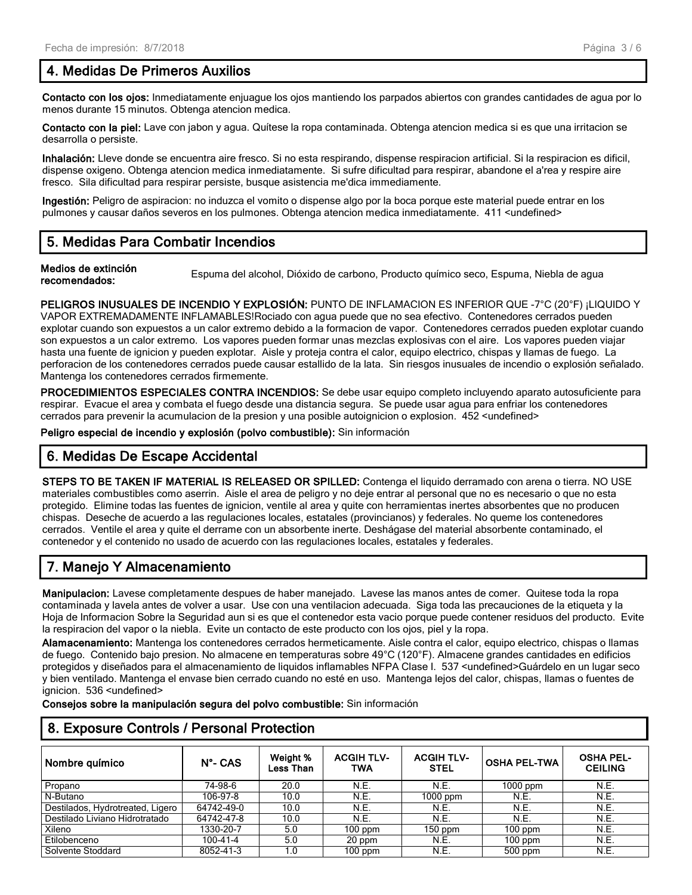#### 4. Medidas De Primeros Auxilios

Contacto con los ojos: Inmediatamente enjuague los ojos mantiendo los parpados abiertos con grandes cantidades de agua por lo menos durante 15 minutos. Obtenga atencion medica.

Contacto con la piel: Lave con jabon y agua. Quítese la ropa contaminada. Obtenga atencion medica si es que una irritacion se desarrolla o persiste.

Inhalación: Lleve donde se encuentra aire fresco. Si no esta respirando, dispense respiracion artificial. Si la respiracion es dificil, dispense oxigeno. Obtenga atencion medica inmediatamente. Si sufre dificultad para respirar, abandone el a'rea y respire aire fresco. Sila dificultad para respirar persiste, busque asistencia me'dica immediamente.

Ingestión: Peligro de aspiracion: no induzca el vomito o dispense algo por la boca porque este material puede entrar en los pulmones y causar daños severos en los pulmones. Obtenga atencion medica inmediatamente. 411 <undefined>

#### 5. Medidas Para Combatir Incendios

Medios de extinción recomendados:<br>
Espuma del alcohol, Dióxido de carbono, Producto químico seco, Espuma, Niebla de agua

PELIGROS INUSUALES DE INCENDIO Y EXPLOSIÓN: PUNTO DE INFLAMACION ES INFERIOR QUE -7°C (20°F) ¡LIQUIDO Y VAPOR EXTREMADAMENTE INFLAMABLES!Rociado con agua puede que no sea efectivo. Contenedores cerrados pueden explotar cuando son expuestos a un calor extremo debido a la formacion de vapor. Contenedores cerrados pueden explotar cuando son expuestos a un calor extremo. Los vapores pueden formar unas mezclas explosivas con el aire. Los vapores pueden viajar hasta una fuente de ignicion y pueden explotar. Aisle y proteja contra el calor, equipo electrico, chispas y llamas de fuego. La perforacion de los contenedores cerrados puede causar estallido de la lata. Sin riesgos inusuales de incendio o explosión señalado. Mantenga los contenedores cerrados firmemente.

PROCEDIMIENTOS ESPECIALES CONTRA INCENDIOS: Se debe usar equipo completo incluyendo aparato autosuficiente para respirar. Evacue el area y combata el fuego desde una distancia segura. Se puede usar agua para enfriar los contenedores cerrados para prevenir la acumulacion de la presion y una posible autoignicion o explosion. 452 <undefined>

Peligro especial de incendio y explosión (polvo combustible): Sin información

#### 6. Medidas De Escape Accidental

STEPS TO BE TAKEN IF MATERIAL IS RELEASED OR SPILLED: Contenga el liquido derramado con arena o tierra. NO USE materiales combustibles como aserrin. Aisle el area de peligro y no deje entrar al personal que no es necesario o que no esta protegido. Elimine todas las fuentes de ignicion, ventile al area y quite con herramientas inertes absorbentes que no producen chispas. Deseche de acuerdo a las regulaciones locales, estatales (provincianos) y federales. No queme los contenedores cerrados. Ventile el area y quite el derrame con un absorbente inerte. Deshágase del material absorbente contaminado, el contenedor y el contenido no usado de acuerdo con las regulaciones locales, estatales y federales.

## 7. Manejo Y Almacenamiento

Manipulacion: Lavese completamente despues de haber manejado. Lavese las manos antes de comer. Quitese toda la ropa contaminada y lavela antes de volver a usar. Use con una ventilacion adecuada. Siga toda las precauciones de la etiqueta y la Hoja de Informacion Sobre la Seguridad aun si es que el contenedor esta vacio porque puede contener residuos del producto. Evite la respiracion del vapor o la niebla. Evite un contacto de este producto con los ojos, piel y la ropa.

Alamacenamiento: Mantenga los contenedores cerrados hermeticamente. Aisle contra el calor, equipo electrico, chispas o llamas de fuego. Contenido bajo presion. No almacene en temperaturas sobre 49°C (120°F). Almacene grandes cantidades en edificios protegidos y diseñados para el almacenamiento de liquidos inflamables NFPA Clase I. 537 <undefined>Guárdelo en un lugar seco y bien ventilado. Mantenga el envase bien cerrado cuando no esté en uso. Mantenga lejos del calor, chispas, llamas o fuentes de ignicion. 536 <undefined>

Consejos sobre la manipulación segura del polvo combustible: Sin información

#### 8. Exposure Controls / Personal Protection

| Nombre químico                   | $N^{\circ}$ - CAS | Weight %<br>Less Than | <b>ACGIH TLV-</b><br>TWA | <b>ACGIH TLV-</b><br><b>STEL</b> | <b>OSHA PEL-TWA</b> | <b>OSHA PEL-</b><br><b>CEILING</b> |
|----------------------------------|-------------------|-----------------------|--------------------------|----------------------------------|---------------------|------------------------------------|
| Propano                          | 74-98-6           | 20.0                  | N.E.                     | N.E.                             | $1000$ ppm          | N.E.                               |
| N-Butano                         | 106-97-8          | 10.0                  | N.E.                     | $1000$ ppm                       | N.E.                | N.E.                               |
| Destilados, Hydrotreated, Ligero | 64742-49-0        | 10.0                  | N.E.                     | N.E.                             | N.E.                | N.E.                               |
| Destilado Liviano Hidrotratado   | 64742-47-8        | 10.0                  | N.E.                     | N.E.                             | N.E.                | N.E.                               |
| Xileno                           | 1330-20-7         | 5.0                   | $100$ ppm                | $150$ ppm                        | $100$ ppm           | N.E.                               |
| Etilobenceno                     | 100-41-4          | 5.0                   | 20 ppm                   | N.E.                             | $100$ ppm           | N.E.                               |
| Solvente Stoddard                | 8052-41-3         | 1.0                   | $100$ ppm                | N.E.                             | $500$ ppm           | N.E.                               |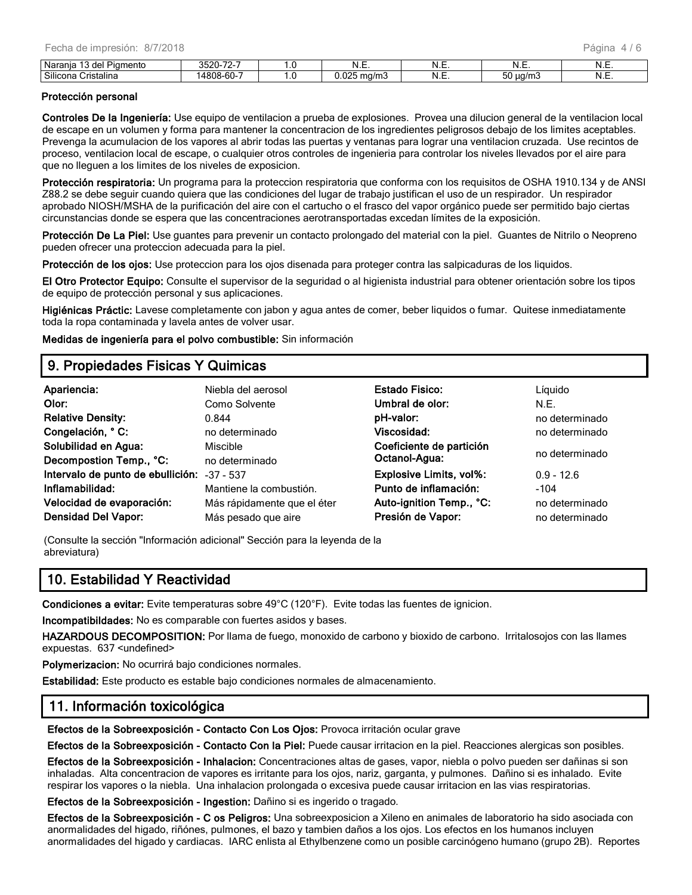| $\sim$<br>'ıamento<br>Nar.<br>н<br>uci | $\neg$<br>つについ<br>-ے    |       | N<br>.                                     | NI<br>. | .          | ᠃ |
|----------------------------------------|-------------------------|-------|--------------------------------------------|---------|------------|---|
| Silicona<br>Cristalina                 | $\sim$<br>000<br>-טס-פנ | . . v | $\sim$ $\sim$ $\sim$<br>…ud/m"<br>טוו<br>. | n.<br>. | ua/m.<br>w | ᠃ |

#### Protección personal

Controles De la Ingeniería: Use equipo de ventilacion a prueba de explosiones. Provea una dilucion general de la ventilacion local de escape en un volumen y forma para mantener la concentracion de los ingredientes peligrosos debajo de los limites aceptables. Prevenga la acumulacion de los vapores al abrir todas las puertas y ventanas para lograr una ventilacion cruzada. Use recintos de proceso, ventilacion local de escape, o cualquier otros controles de ingenieria para controlar los niveles llevados por el aire para que no lleguen a los limites de los niveles de exposicion.

Protección respiratoria: Un programa para la proteccion respiratoria que conforma con los requisitos de OSHA 1910.134 y de ANSI Z88.2 se debe seguir cuando quiera que las condiciones del lugar de trabajo justifican el uso de un respirador. Un respirador aprobado NIOSH/MSHA de la purificación del aire con el cartucho o el frasco del vapor orgánico puede ser permitido bajo ciertas circunstancias donde se espera que las concentraciones aerotransportadas excedan límites de la exposición.

Protección De La Piel: Use guantes para prevenir un contacto prolongado del material con la piel. Guantes de Nitrilo o Neopreno pueden ofrecer una proteccion adecuada para la piel.

Protección de los ojos: Use proteccion para los ojos disenada para proteger contra las salpicaduras de los liquidos.

El Otro Protector Equipo: Consulte el supervisor de la seguridad o al higienista industrial para obtener orientación sobre los tipos de equipo de protección personal y sus aplicaciones.

Higiénicas Práctic: Lavese completamente con jabon y agua antes de comer, beber liquidos o fumar. Quitese inmediatamente toda la ropa contaminada y lavela antes de volver usar.

Medidas de ingeniería para el polvo combustible: Sin información

#### 9. Propiedades Fisicas Y Quimicas

| Apariencia:                                 | Niebla del aerosol          | Estado Fisico:           | Líquido        |
|---------------------------------------------|-----------------------------|--------------------------|----------------|
| Olor:                                       | Como Solvente               | Umbral de olor:          | N.E.           |
| <b>Relative Density:</b>                    | 0.844                       | pH-valor:                | no determinado |
| Congelación, ° C:                           | no determinado              | Viscosidad:              | no determinado |
| Solubilidad en Agua:                        | Miscible                    | Coeficiente de partición |                |
| Decompostion Temp., °C:                     | no determinado              | Octanol-Agua:            | no determinado |
| Intervalo de punto de ebullición: -37 - 537 |                             | Explosive Limits, vol%:  | $0.9 - 12.6$   |
| Inflamabilidad:                             | Mantiene la combustión.     | Punto de inflamación:    | $-104$         |
| Velocidad de evaporación:                   | Más rápidamente que el éter | Auto-ignition Temp., °C: | no determinado |
| <b>Densidad Del Vapor:</b>                  | Más pesado que aire         | Presión de Vapor:        | no determinado |

(Consulte la sección "Información adicional" Sección para la leyenda de la abreviatura)

#### 10. Estabilidad Y Reactividad

Condiciones a evitar: Evite temperaturas sobre 49°C (120°F). Evite todas las fuentes de ignicion.

Incompatibildades: No es comparable con fuertes asidos y bases.

HAZARDOUS DECOMPOSITION: Por llama de fuego, monoxido de carbono y bioxido de carbono. Irritalosojos con las llames expuestas. 637 <undefined>

Polymerizacion: No ocurrirá bajo condiciones normales.

Estabilidad: Este producto es estable bajo condiciones normales de almacenamiento.

#### 11. Información toxicológica

Efectos de la Sobreexposición - Contacto Con Los Ojos: Provoca irritación ocular grave

Efectos de la Sobreexposición - Contacto Con la Piel: Puede causar irritacion en la piel. Reacciones alergicas son posibles.

Efectos de la Sobreexposición - Inhalacion: Concentraciones altas de gases, vapor, niebla o polvo pueden ser dañinas si son inhaladas. Alta concentracion de vapores es irritante para los ojos, nariz, garganta, y pulmones. Dañino si es inhalado. Evite respirar los vapores o la niebla. Una inhalacion prolongada o excesiva puede causar irritacion en las vias respiratorias.

Efectos de la Sobreexposición - Ingestion: Dañino si es ingerido o tragado.

Efectos de la Sobreexposición - C os Peligros: Una sobreexposicion a Xileno en animales de laboratorio ha sido asociada con anormalidades del higado, riñónes, pulmones, el bazo y tambien daños a los ojos. Los efectos en los humanos incluyen anormalidades del higado y cardiacas. IARC enlista al Ethylbenzene como un posible carcinógeno humano (grupo 2B). Reportes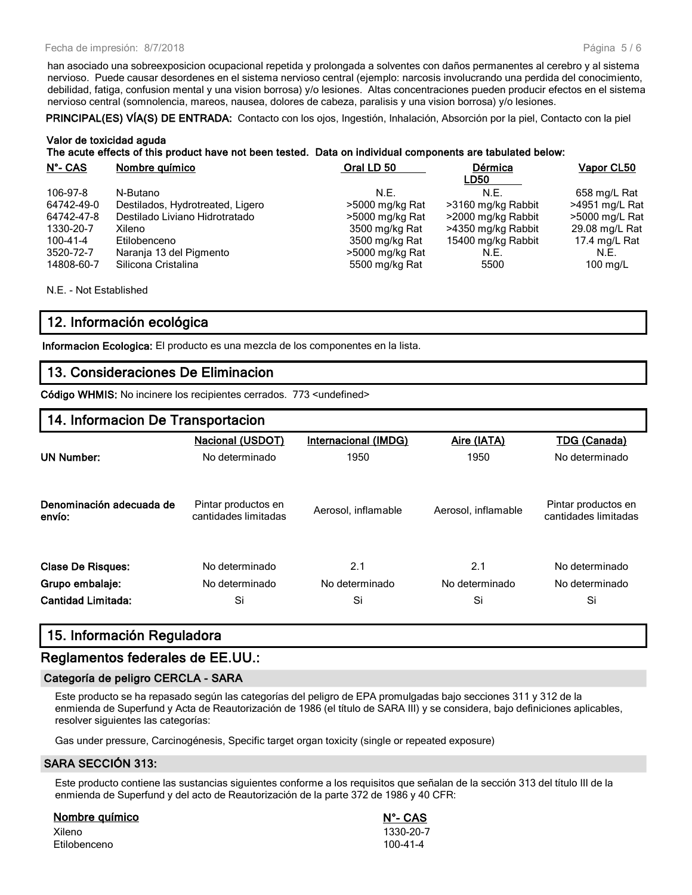han asociado una sobreexposicion ocupacional repetida y prolongada a solventes con daños permanentes al cerebro y al sistema nervioso. Puede causar desordenes en el sistema nervioso central (ejemplo: narcosis involucrando una perdida del conocimiento, debilidad, fatiga, confusion mental y una vision borrosa) y/o lesiones. Altas concentraciones pueden producir efectos en el sistema nervioso central (somnolencia, mareos, nausea, dolores de cabeza, paralisis y una vision borrosa) y/o lesiones.

PRINCIPAL(ES) VÍA(S) DE ENTRADA: Contacto con los ojos, Ingestión, Inhalación, Absorción por la piel, Contacto con la piel

#### Valor de toxicidad aguda The acute effects of this product have not been tested. Data on individual components are tabulated below:

| $N^{\circ}$ - CAS | Nombre químico                   | Oral LD 50      | Dérmica<br>LD50    | <b>Vapor CL50</b>   |
|-------------------|----------------------------------|-----------------|--------------------|---------------------|
| 106-97-8          | N-Butano                         | N.F.            | N.E.               | 658 mg/L Rat        |
| 64742-49-0        | Destilados, Hydrotreated, Ligero | >5000 mg/kg Rat | >3160 mg/kg Rabbit | >4951 mg/L Rat      |
| 64742-47-8        | Destilado Liviano Hidrotratado   | >5000 mg/kg Rat | >2000 mg/kg Rabbit | >5000 mg/L Rat      |
| 1330-20-7         | Xileno                           | 3500 mg/kg Rat  | >4350 mg/kg Rabbit | 29.08 mg/L Rat      |
| 100-41-4          | Etilobenceno                     | 3500 mg/kg Rat  | 15400 mg/kg Rabbit | 17.4 mg/L Rat       |
| 3520-72-7         | Naranja 13 del Pigmento          | >5000 mg/kg Rat | N.E.               | N.E.                |
| 14808-60-7        | Silicona Cristalina              | 5500 mg/kg Rat  | 5500               | $100 \text{ rad/L}$ |

N.E. - Not Established

#### 12. Información ecológica

Informacion Ecologica: El producto es una mezcla de los componentes en la lista.

#### 13. Consideraciones De Eliminacion

Código WHMIS: No incinere los recipientes cerrados. 773 <undefined>

#### 14. Informacion De Transportacion

|                                             |                         |                      | <b>TDG (Canada)</b>                         |
|---------------------------------------------|-------------------------|----------------------|---------------------------------------------|
| No determinado                              | 1950                    | 1950                 | No determinado                              |
| Pintar productos en<br>cantidades limitadas | Aerosol, inflamable     | Aerosol, inflamable  | Pintar productos en<br>cantidades limitadas |
| No determinado                              | 2.1                     | 2.1                  | No determinado                              |
| No determinado                              | No determinado          | No determinado       | No determinado                              |
| Si                                          | Si                      | Si                   | Si                                          |
|                                             | <b>Nacional (USDOT)</b> | Internacional (IMDG) | Aire (IATA)                                 |

#### 15. Información Reguladora

#### Reglamentos federales de EE.UU.:

#### Categoría de peligro CERCLA - SARA

Este producto se ha repasado según las categorías del peligro de EPA promulgadas bajo secciones 311 y 312 de la enmienda de Superfund y Acta de Reautorización de 1986 (el título de SARA III) y se considera, bajo definiciones aplicables, resolver siguientes las categorías:

Gas under pressure, Carcinogénesis, Specific target organ toxicity (single or repeated exposure)

#### SARA SECCIÓN 313:

Este producto contiene las sustancias siguientes conforme a los requisitos que señalan de la sección 313 del título III de la enmienda de Superfund y del acto de Reautorización de la parte 372 de 1986 y 40 CFR:

#### Nombre químico N°- CAS

Xileno 1330-20-7 Etilobenceno 100-41-4